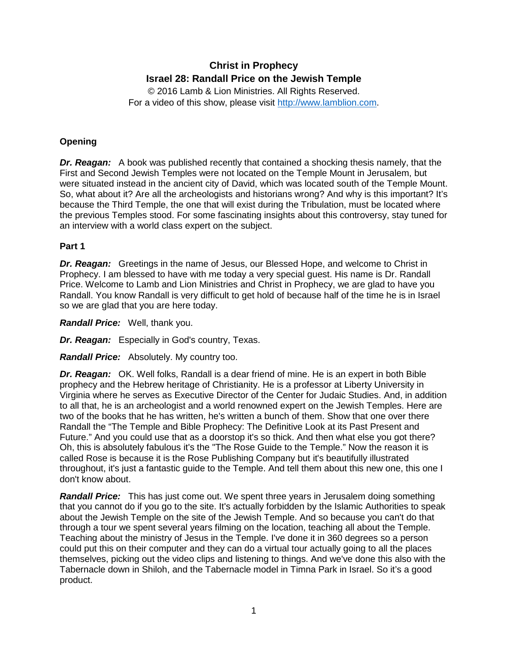# **Christ in Prophecy Israel 28: Randall Price on the Jewish Temple**

© 2016 Lamb & Lion Ministries. All Rights Reserved. For a video of this show, please visit [http://www.lamblion.com.](http://www.lamblion.com/)

# **Opening**

*Dr. Reagan:* A book was published recently that contained a shocking thesis namely, that the First and Second Jewish Temples were not located on the Temple Mount in Jerusalem, but were situated instead in the ancient city of David, which was located south of the Temple Mount. So, what about it? Are all the archeologists and historians wrong? And why is this important? It's because the Third Temple, the one that will exist during the Tribulation, must be located where the previous Temples stood. For some fascinating insights about this controversy, stay tuned for an interview with a world class expert on the subject.

### **Part 1**

*Dr. Reagan:* Greetings in the name of Jesus, our Blessed Hope, and welcome to Christ in Prophecy. I am blessed to have with me today a very special guest. His name is Dr. Randall Price. Welcome to Lamb and Lion Ministries and Christ in Prophecy, we are glad to have you Randall. You know Randall is very difficult to get hold of because half of the time he is in Israel so we are glad that you are here today.

*Randall Price:* Well, thank you.

*Dr. Reagan:* Especially in God's country, Texas.

*Randall Price:* Absolutely. My country too.

*Dr. Reagan:* OK. Well folks, Randall is a dear friend of mine. He is an expert in both Bible prophecy and the Hebrew heritage of Christianity. He is a professor at Liberty University in Virginia where he serves as Executive Director of the Center for Judaic Studies. And, in addition to all that, he is an archeologist and a world renowned expert on the Jewish Temples. Here are two of the books that he has written, he's written a bunch of them. Show that one over there Randall the "The Temple and Bible Prophecy: The Definitive Look at its Past Present and Future." And you could use that as a doorstop it's so thick. And then what else you got there? Oh, this is absolutely fabulous it's the "The Rose Guide to the Temple." Now the reason it is called Rose is because it is the Rose Publishing Company but it's beautifully illustrated throughout, it's just a fantastic guide to the Temple. And tell them about this new one, this one I don't know about.

*Randall Price:* This has just come out. We spent three years in Jerusalem doing something that you cannot do if you go to the site. It's actually forbidden by the Islamic Authorities to speak about the Jewish Temple on the site of the Jewish Temple. And so because you can't do that through a tour we spent several years filming on the location, teaching all about the Temple. Teaching about the ministry of Jesus in the Temple. I've done it in 360 degrees so a person could put this on their computer and they can do a virtual tour actually going to all the places themselves, picking out the video clips and listening to things. And we've done this also with the Tabernacle down in Shiloh, and the Tabernacle model in Timna Park in Israel. So it's a good product.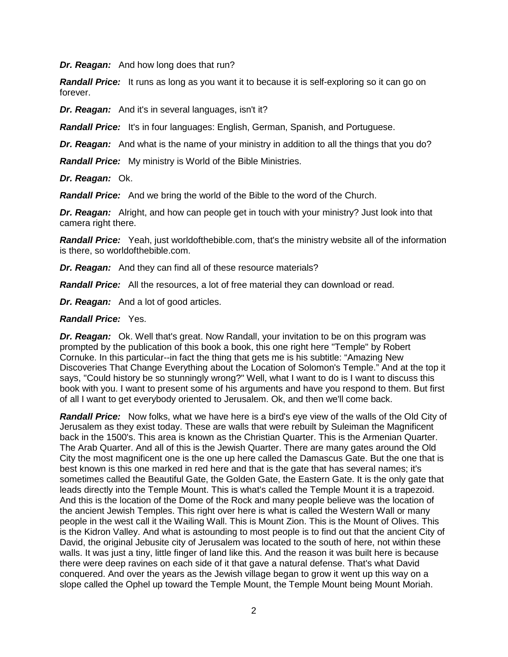*Dr. Reagan:* And how long does that run?

**Randall Price:** It runs as long as you want it to because it is self-exploring so it can go on forever.

*Dr. Reagan:* And it's in several languages, isn't it?

*Randall Price:* It's in four languages: English, German, Spanish, and Portuguese.

**Dr. Reagan:** And what is the name of your ministry in addition to all the things that you do?

*Randall Price:* My ministry is World of the Bible Ministries.

#### *Dr. Reagan:* Ok.

*Randall Price:* And we bring the world of the Bible to the word of the Church.

*Dr. Reagan:* Alright, and how can people get in touch with your ministry? Just look into that camera right there.

*Randall Price:* Yeah, just worldofthebible.com, that's the ministry website all of the information is there, so worldofthebible.com.

*Dr. Reagan:* And they can find all of these resource materials?

*Randall Price:* All the resources, a lot of free material they can download or read.

*Dr. Reagan:* And a lot of good articles.

#### *Randall Price:* Yes.

*Dr. Reagan:* Ok. Well that's great. Now Randall, your invitation to be on this program was prompted by the publication of this book a book, this one right here "Temple" by Robert Cornuke. In this particular--in fact the thing that gets me is his subtitle: "Amazing New Discoveries That Change Everything about the Location of Solomon's Temple." And at the top it says, "Could history be so stunningly wrong?" Well, what I want to do is I want to discuss this book with you. I want to present some of his arguments and have you respond to them. But first of all I want to get everybody oriented to Jerusalem. Ok, and then we'll come back.

*Randall Price:* Now folks, what we have here is a bird's eye view of the walls of the Old City of Jerusalem as they exist today. These are walls that were rebuilt by Suleiman the Magnificent back in the 1500's. This area is known as the Christian Quarter. This is the Armenian Quarter. The Arab Quarter. And all of this is the Jewish Quarter. There are many gates around the Old City the most magnificent one is the one up here called the Damascus Gate. But the one that is best known is this one marked in red here and that is the gate that has several names; it's sometimes called the Beautiful Gate, the Golden Gate, the Eastern Gate. It is the only gate that leads directly into the Temple Mount. This is what's called the Temple Mount it is a trapezoid. And this is the location of the Dome of the Rock and many people believe was the location of the ancient Jewish Temples. This right over here is what is called the Western Wall or many people in the west call it the Wailing Wall. This is Mount Zion. This is the Mount of Olives. This is the Kidron Valley. And what is astounding to most people is to find out that the ancient City of David, the original Jebusite city of Jerusalem was located to the south of here, not within these walls. It was just a tiny, little finger of land like this. And the reason it was built here is because there were deep ravines on each side of it that gave a natural defense. That's what David conquered. And over the years as the Jewish village began to grow it went up this way on a slope called the Ophel up toward the Temple Mount, the Temple Mount being Mount Moriah.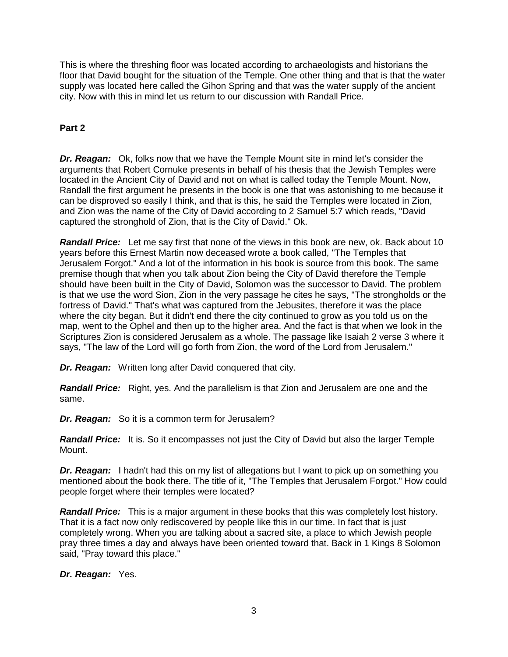This is where the threshing floor was located according to archaeologists and historians the floor that David bought for the situation of the Temple. One other thing and that is that the water supply was located here called the Gihon Spring and that was the water supply of the ancient city. Now with this in mind let us return to our discussion with Randall Price.

### **Part 2**

*Dr. Reagan:* Ok, folks now that we have the Temple Mount site in mind let's consider the arguments that Robert Cornuke presents in behalf of his thesis that the Jewish Temples were located in the Ancient City of David and not on what is called today the Temple Mount. Now, Randall the first argument he presents in the book is one that was astonishing to me because it can be disproved so easily I think, and that is this, he said the Temples were located in Zion, and Zion was the name of the City of David according to 2 Samuel 5:7 which reads, "David captured the stronghold of Zion, that is the City of David." Ok.

*Randall Price:* Let me say first that none of the views in this book are new, ok. Back about 10 years before this Ernest Martin now deceased wrote a book called, "The Temples that Jerusalem Forgot." And a lot of the information in his book is source from this book. The same premise though that when you talk about Zion being the City of David therefore the Temple should have been built in the City of David, Solomon was the successor to David. The problem is that we use the word Sion, Zion in the very passage he cites he says, "The strongholds or the fortress of David." That's what was captured from the Jebusites, therefore it was the place where the city began. But it didn't end there the city continued to grow as you told us on the map, went to the Ophel and then up to the higher area. And the fact is that when we look in the Scriptures Zion is considered Jerusalem as a whole. The passage like Isaiah 2 verse 3 where it says, "The law of the Lord will go forth from Zion, the word of the Lord from Jerusalem."

*Dr. Reagan:* Written long after David conquered that city.

*Randall Price:* Right, yes. And the parallelism is that Zion and Jerusalem are one and the same.

*Dr. Reagan:* So it is a common term for Jerusalem?

*Randall Price:* It is. So it encompasses not just the City of David but also the larger Temple Mount.

*Dr. Reagan:* I hadn't had this on my list of allegations but I want to pick up on something you mentioned about the book there. The title of it, "The Temples that Jerusalem Forgot." How could people forget where their temples were located?

*Randall Price:* This is a major argument in these books that this was completely lost history. That it is a fact now only rediscovered by people like this in our time. In fact that is just completely wrong. When you are talking about a sacred site, a place to which Jewish people pray three times a day and always have been oriented toward that. Back in 1 Kings 8 Solomon said, "Pray toward this place."

*Dr. Reagan:* Yes.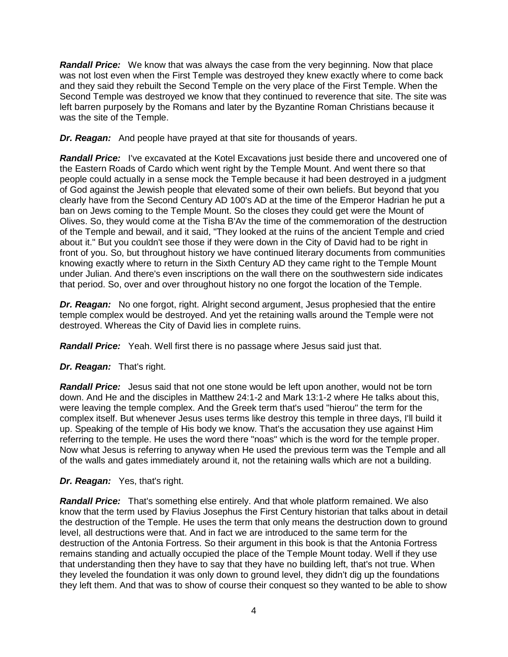*Randall Price:* We know that was always the case from the very beginning. Now that place was not lost even when the First Temple was destroyed they knew exactly where to come back and they said they rebuilt the Second Temple on the very place of the First Temple. When the Second Temple was destroyed we know that they continued to reverence that site. The site was left barren purposely by the Romans and later by the Byzantine Roman Christians because it was the site of the Temple.

*Dr. Reagan:* And people have prayed at that site for thousands of years.

*Randall Price:* I've excavated at the Kotel Excavations just beside there and uncovered one of the Eastern Roads of Cardo which went right by the Temple Mount. And went there so that people could actually in a sense mock the Temple because it had been destroyed in a judgment of God against the Jewish people that elevated some of their own beliefs. But beyond that you clearly have from the Second Century AD 100's AD at the time of the Emperor Hadrian he put a ban on Jews coming to the Temple Mount. So the closes they could get were the Mount of Olives. So, they would come at the Tisha B'Av the time of the commemoration of the destruction of the Temple and bewail, and it said, "They looked at the ruins of the ancient Temple and cried about it." But you couldn't see those if they were down in the City of David had to be right in front of you. So, but throughout history we have continued literary documents from communities knowing exactly where to return in the Sixth Century AD they came right to the Temple Mount under Julian. And there's even inscriptions on the wall there on the southwestern side indicates that period. So, over and over throughout history no one forgot the location of the Temple.

*Dr. Reagan:* No one forgot, right. Alright second argument, Jesus prophesied that the entire temple complex would be destroyed. And yet the retaining walls around the Temple were not destroyed. Whereas the City of David lies in complete ruins.

*Randall Price:* Yeah. Well first there is no passage where Jesus said just that.

# *Dr. Reagan:* That's right.

*Randall Price:* Jesus said that not one stone would be left upon another, would not be torn down. And He and the disciples in Matthew 24:1-2 and Mark 13:1-2 where He talks about this, were leaving the temple complex. And the Greek term that's used "hierou" the term for the complex itself. But whenever Jesus uses terms like destroy this temple in three days, I'll build it up. Speaking of the temple of His body we know. That's the accusation they use against Him referring to the temple. He uses the word there "noas" which is the word for the temple proper. Now what Jesus is referring to anyway when He used the previous term was the Temple and all of the walls and gates immediately around it, not the retaining walls which are not a building.

# *Dr. Reagan:* Yes, that's right.

*Randall Price:* That's something else entirely. And that whole platform remained. We also know that the term used by Flavius Josephus the First Century historian that talks about in detail the destruction of the Temple. He uses the term that only means the destruction down to ground level, all destructions were that. And in fact we are introduced to the same term for the destruction of the Antonia Fortress. So their argument in this book is that the Antonia Fortress remains standing and actually occupied the place of the Temple Mount today. Well if they use that understanding then they have to say that they have no building left, that's not true. When they leveled the foundation it was only down to ground level, they didn't dig up the foundations they left them. And that was to show of course their conquest so they wanted to be able to show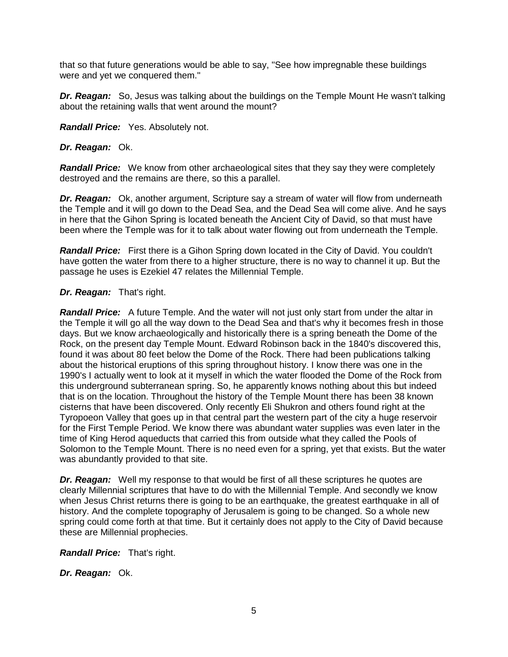that so that future generations would be able to say, "See how impregnable these buildings were and yet we conquered them."

**Dr. Reagan:** So, Jesus was talking about the buildings on the Temple Mount He wasn't talking about the retaining walls that went around the mount?

*Randall Price:* Yes. Absolutely not.

### *Dr. Reagan:* Ok.

*Randall Price:* We know from other archaeological sites that they say they were completely destroyed and the remains are there, so this a parallel.

*Dr. Reagan:* Ok, another argument, Scripture say a stream of water will flow from underneath the Temple and it will go down to the Dead Sea, and the Dead Sea will come alive. And he says in here that the Gihon Spring is located beneath the Ancient City of David, so that must have been where the Temple was for it to talk about water flowing out from underneath the Temple.

*Randall Price:* First there is a Gihon Spring down located in the City of David. You couldn't have gotten the water from there to a higher structure, there is no way to channel it up. But the passage he uses is Ezekiel 47 relates the Millennial Temple.

### *Dr. Reagan:* That's right.

*Randall Price:* A future Temple. And the water will not just only start from under the altar in the Temple it will go all the way down to the Dead Sea and that's why it becomes fresh in those days. But we know archaeologically and historically there is a spring beneath the Dome of the Rock, on the present day Temple Mount. Edward Robinson back in the 1840's discovered this, found it was about 80 feet below the Dome of the Rock. There had been publications talking about the historical eruptions of this spring throughout history. I know there was one in the 1990's I actually went to look at it myself in which the water flooded the Dome of the Rock from this underground subterranean spring. So, he apparently knows nothing about this but indeed that is on the location. Throughout the history of the Temple Mount there has been 38 known cisterns that have been discovered. Only recently Eli Shukron and others found right at the Tyropoeon Valley that goes up in that central part the western part of the city a huge reservoir for the First Temple Period. We know there was abundant water supplies was even later in the time of King Herod aqueducts that carried this from outside what they called the Pools of Solomon to the Temple Mount. There is no need even for a spring, yet that exists. But the water was abundantly provided to that site.

*Dr. Reagan:* Well my response to that would be first of all these scriptures he quotes are clearly Millennial scriptures that have to do with the Millennial Temple. And secondly we know when Jesus Christ returns there is going to be an earthquake, the greatest earthquake in all of history. And the complete topography of Jerusalem is going to be changed. So a whole new spring could come forth at that time. But it certainly does not apply to the City of David because these are Millennial prophecies.

*Randall Price:* That's right.

*Dr. Reagan:* Ok.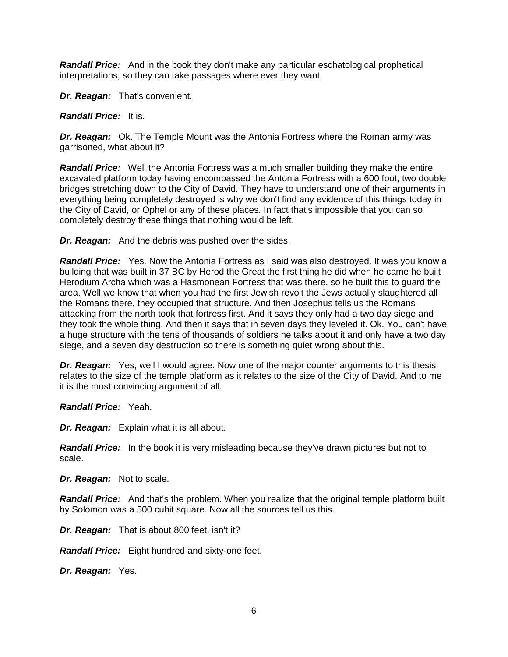*Randall Price:* And in the book they don't make any particular eschatological prophetical interpretations, so they can take passages where ever they want.

*Dr. Reagan:* That's convenient.

*Randall Price:* It is.

*Dr. Reagan:* Ok. The Temple Mount was the Antonia Fortress where the Roman army was garrisoned, what about it?

*Randall Price:* Well the Antonia Fortress was a much smaller building they make the entire excavated platform today having encompassed the Antonia Fortress with a 600 foot, two double bridges stretching down to the City of David. They have to understand one of their arguments in everything being completely destroyed is why we don't find any evidence of this things today in the City of David, or Ophel or any of these places. In fact that's impossible that you can so completely destroy these things that nothing would be left.

*Dr. Reagan:* And the debris was pushed over the sides.

*Randall Price:* Yes. Now the Antonia Fortress as I said was also destroyed. It was you know a building that was built in 37 BC by Herod the Great the first thing he did when he came he built Herodium Archa which was a Hasmonean Fortress that was there, so he built this to guard the area. Well we know that when you had the first Jewish revolt the Jews actually slaughtered all the Romans there, they occupied that structure. And then Josephus tells us the Romans attacking from the north took that fortress first. And it says they only had a two day siege and they took the whole thing. And then it says that in seven days they leveled it. Ok. You can't have a huge structure with the tens of thousands of soldiers he talks about it and only have a two day siege, and a seven day destruction so there is something quiet wrong about this.

*Dr. Reagan:* Yes, well I would agree. Now one of the major counter arguments to this thesis relates to the size of the temple platform as it relates to the size of the City of David. And to me it is the most convincing argument of all.

*Randall Price:* Yeah.

*Dr. Reagan:* Explain what it is all about.

*Randall Price:* In the book it is very misleading because they've drawn pictures but not to scale.

*Dr. Reagan:* Not to scale.

*Randall Price:* And that's the problem. When you realize that the original temple platform built by Solomon was a 500 cubit square. Now all the sources tell us this.

*Dr. Reagan:* That is about 800 feet, isn't it?

*Randall Price:* Eight hundred and sixty-one feet.

*Dr. Reagan:* Yes.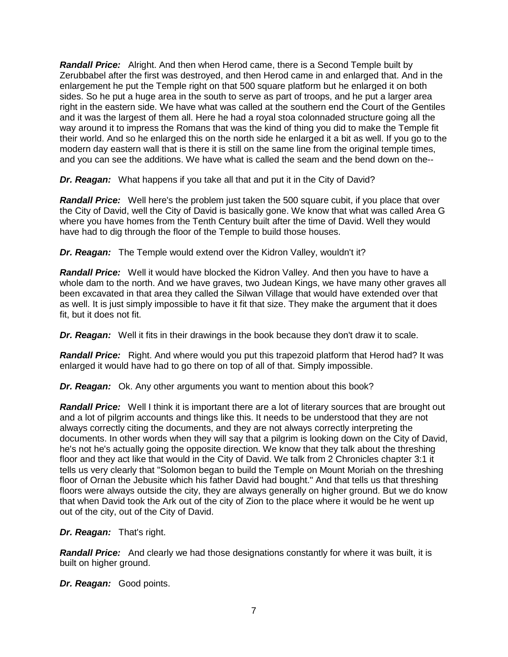*Randall Price:* Alright. And then when Herod came, there is a Second Temple built by Zerubbabel after the first was destroyed, and then Herod came in and enlarged that. And in the enlargement he put the Temple right on that 500 square platform but he enlarged it on both sides. So he put a huge area in the south to serve as part of troops, and he put a larger area right in the eastern side. We have what was called at the southern end the Court of the Gentiles and it was the largest of them all. Here he had a royal stoa colonnaded structure going all the way around it to impress the Romans that was the kind of thing you did to make the Temple fit their world. And so he enlarged this on the north side he enlarged it a bit as well. If you go to the modern day eastern wall that is there it is still on the same line from the original temple times, and you can see the additions. We have what is called the seam and the bend down on the--

*Dr. Reagan:* What happens if you take all that and put it in the City of David?

*Randall Price:* Well here's the problem just taken the 500 square cubit, if you place that over the City of David, well the City of David is basically gone. We know that what was called Area G where you have homes from the Tenth Century built after the time of David. Well they would have had to dig through the floor of the Temple to build those houses.

*Dr. Reagan:* The Temple would extend over the Kidron Valley, wouldn't it?

*Randall Price:* Well it would have blocked the Kidron Valley. And then you have to have a whole dam to the north. And we have graves, two Judean Kings, we have many other graves all been excavated in that area they called the Silwan Village that would have extended over that as well. It is just simply impossible to have it fit that size. They make the argument that it does fit, but it does not fit.

*Dr. Reagan:* Well it fits in their drawings in the book because they don't draw it to scale.

*Randall Price:* Right. And where would you put this trapezoid platform that Herod had? It was enlarged it would have had to go there on top of all of that. Simply impossible.

*Dr. Reagan:* Ok. Any other arguments you want to mention about this book?

*Randall Price:* Well I think it is important there are a lot of literary sources that are brought out and a lot of pilgrim accounts and things like this. It needs to be understood that they are not always correctly citing the documents, and they are not always correctly interpreting the documents. In other words when they will say that a pilgrim is looking down on the City of David, he's not he's actually going the opposite direction. We know that they talk about the threshing floor and they act like that would in the City of David. We talk from 2 Chronicles chapter 3:1 it tells us very clearly that "Solomon began to build the Temple on Mount Moriah on the threshing floor of Ornan the Jebusite which his father David had bought." And that tells us that threshing floors were always outside the city, they are always generally on higher ground. But we do know that when David took the Ark out of the city of Zion to the place where it would be he went up out of the city, out of the City of David.

*Dr. Reagan:* That's right.

*Randall Price:* And clearly we had those designations constantly for where it was built, it is built on higher ground.

*Dr. Reagan:* Good points.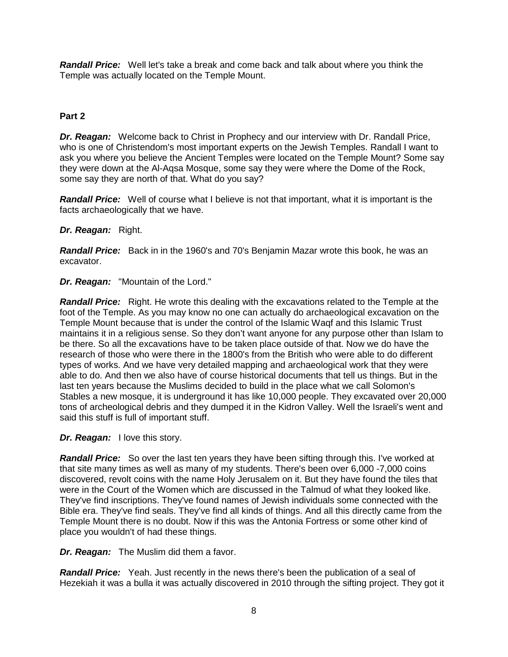*Randall Price:* Well let's take a break and come back and talk about where you think the Temple was actually located on the Temple Mount.

### **Part 2**

*Dr. Reagan:* Welcome back to Christ in Prophecy and our interview with Dr. Randall Price, who is one of Christendom's most important experts on the Jewish Temples. Randall I want to ask you where you believe the Ancient Temples were located on the Temple Mount? Some say they were down at the Al-Aqsa Mosque, some say they were where the Dome of the Rock, some say they are north of that. What do you say?

*Randall Price:* Well of course what I believe is not that important, what it is important is the facts archaeologically that we have.

#### *Dr. Reagan:* Right.

*Randall Price:* Back in in the 1960's and 70's Benjamin Mazar wrote this book, he was an excavator.

*Dr. Reagan:* "Mountain of the Lord."

*Randall Price:* Right. He wrote this dealing with the excavations related to the Temple at the foot of the Temple. As you may know no one can actually do archaeological excavation on the Temple Mount because that is under the control of the Islamic Waqf and this Islamic Trust maintains it in a religious sense. So they don't want anyone for any purpose other than Islam to be there. So all the excavations have to be taken place outside of that. Now we do have the research of those who were there in the 1800's from the British who were able to do different types of works. And we have very detailed mapping and archaeological work that they were able to do. And then we also have of course historical documents that tell us things. But in the last ten years because the Muslims decided to build in the place what we call Solomon's Stables a new mosque, it is underground it has like 10,000 people. They excavated over 20,000 tons of archeological debris and they dumped it in the Kidron Valley. Well the Israeli's went and said this stuff is full of important stuff.

*Dr. Reagan:* I love this story.

**Randall Price:** So over the last ten years they have been sifting through this. I've worked at that site many times as well as many of my students. There's been over 6,000 -7,000 coins discovered, revolt coins with the name Holy Jerusalem on it. But they have found the tiles that were in the Court of the Women which are discussed in the Talmud of what they looked like. They've find inscriptions. They've found names of Jewish individuals some connected with the Bible era. They've find seals. They've find all kinds of things. And all this directly came from the Temple Mount there is no doubt. Now if this was the Antonia Fortress or some other kind of place you wouldn't of had these things.

*Dr. Reagan:* The Muslim did them a favor.

*Randall Price:* Yeah. Just recently in the news there's been the publication of a seal of Hezekiah it was a bulla it was actually discovered in 2010 through the sifting project. They got it